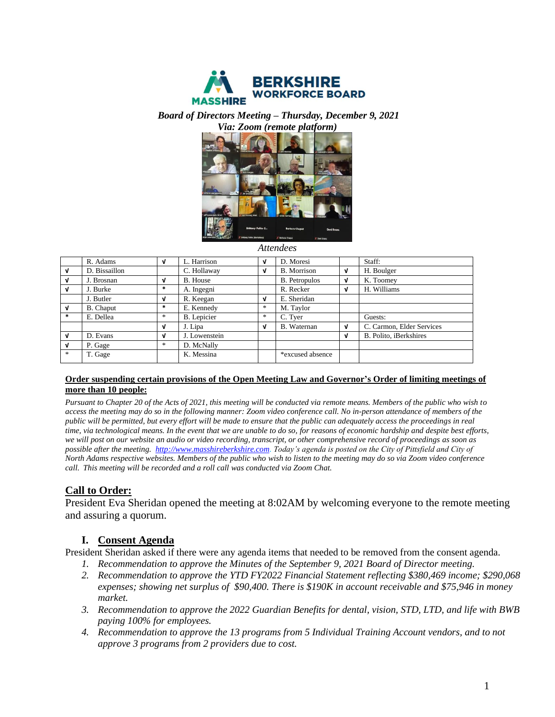

*Board of Directors Meeting – Thursday, December 9, 2021*



*Attendees*

|              | R. Adams         | ึง            | L. Harrison     | ν | D. Moresi            |   | Staff:                    |
|--------------|------------------|---------------|-----------------|---|----------------------|---|---------------------------|
| $\mathbf{v}$ | D. Bissaillon    |               | C. Hollaway     | V | <b>B.</b> Morrison   | V | H. Boulger                |
| V            | J. Brosnan       | V             | <b>B.</b> House |   | <b>B.</b> Petropulos | v | K. Toomey                 |
| $\mathbf{v}$ | J. Burke         | $\ast$        | A. Ingegni      |   | R. Recker            | V | H. Williams               |
|              | J. Butler        | V             | R. Keegan       | ν | E. Sheridan          |   |                           |
| $\mathbf{v}$ | <b>B.</b> Chaput | $\ast$        | E. Kennedy      | * | M. Taylor            |   |                           |
| $\ast$       | E. Dellea        | $\ast$        | B. Lepicier     | * | C. Tyer              |   | Guests:                   |
|              |                  | V             | J. Lipa         | V | B. Waternan          | V | C. Carmon, Elder Services |
| V            | D. Evans         | V             | J. Lowenstein   |   |                      | v | B. Polito, iBerkshires    |
| V            | P. Gage          | $\frac{1}{2}$ | D. McNally      |   |                      |   |                           |
| $*$          | T. Gage          |               | K. Messina      |   | *excused absence     |   |                           |
|              |                  |               |                 |   |                      |   |                           |

#### **Order suspending certain provisions of the Open Meeting Law and Governor's Order of limiting meetings of more than 10 people:**

*Pursuant to Chapter 20 of the Acts of 2021, this meeting will be conducted via remote means. Members of the public who wish to access the meeting may do so in the following manner: Zoom video conference call. No in-person attendance of members of the public will be permitted, but every effort will be made to ensure that the public can adequately access the proceedings in real time, via technological means. In the event that we are unable to do so, for reasons of economic hardship and despite best efforts, we will post on our website an audio or video recording, transcript, or other comprehensive record of proceedings as soon as possible after the meeting. [http://www.masshireberkshire.com.](http://www.masshireberkshire.com/) Today's agenda is posted on the City of Pittsfield and City of North Adams respective websites. Members of the public who wish to listen to the meeting may do so via Zoom video conference call. This meeting will be recorded and a roll call was conducted via Zoom Chat.* 

## **Call to Order:**

President Eva Sheridan opened the meeting at 8:02AM by welcoming everyone to the remote meeting and assuring a quorum.

### **I. Consent Agenda**

President Sheridan asked if there were any agenda items that needed to be removed from the consent agenda.

- *1. Recommendation to approve the Minutes of the September 9, 2021 Board of Director meeting.*
- *2. Recommendation to approve the YTD FY2022 Financial Statement reflecting \$380,469 income; \$290,068 expenses; showing net surplus of \$90,400. There is \$190K in account receivable and \$75,946 in money market.*
- *3. Recommendation to approve the 2022 Guardian Benefits for dental, vision, STD, LTD, and life with BWB paying 100% for employees.*
- *4. Recommendation to approve the 13 programs from 5 Individual Training Account vendors, and to not approve 3 programs from 2 providers due to cost.*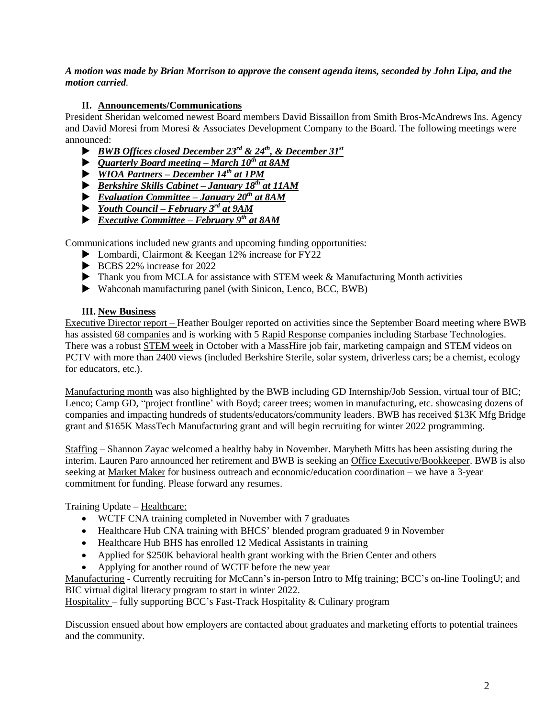#### *A motion was made by Brian Morrison to approve the consent agenda items, seconded by John Lipa, and the motion carried.*

### **II. Announcements/Communications**

President Sheridan welcomed newest Board members David Bissaillon from Smith Bros-McAndrews Ins. Agency and David Moresi from Moresi & Associates Development Company to the Board. The following meetings were announced:

- *BWB Offices closed December 23rd & 24th, & December 31st*
- *Quarterly Board meeting – March 10th at 8AM*
- *WIOA Partners – December 14th at 1PM*
- *Berkshire Skills Cabinet – January 18th at 11AM*
- *Evaluation Committee – January 20th at 8AM*
- *Youth Council – February 3rd at 9AM*
- *Executive Committee – February 9th at 8AM*

Communications included new grants and upcoming funding opportunities:

- ▶ Lombardi, Clairmont & Keegan 12% increase for FY22
- BCBS 22% increase for 2022
- Thank you from MCLA for assistance with STEM week & Manufacturing Month activities
- Wahconah manufacturing panel (with Sinicon, Lenco, BCC, BWB)

#### **III. New Business**

Executive Director report – Heather Boulger reported on activities since the September Board meeting where BWB has assisted 68 companies and is working with 5 Rapid Response companies including Starbase Technologies. There was a robust STEM week in October with a MassHire job fair, marketing campaign and STEM videos on PCTV with more than 2400 views (included Berkshire Sterile, solar system, driverless cars; be a chemist, ecology for educators, etc.).

Manufacturing month was also highlighted by the BWB including GD Internship/Job Session, virtual tour of BIC; Lenco; Camp GD, "project frontline' with Boyd; career trees; women in manufacturing, etc. showcasing dozens of companies and impacting hundreds of students/educators/community leaders. BWB has received \$13K Mfg Bridge grant and \$165K MassTech Manufacturing grant and will begin recruiting for winter 2022 programming.

Staffing – Shannon Zayac welcomed a healthy baby in November. Marybeth Mitts has been assisting during the interim. Lauren Paro announced her retirement and BWB is seeking an Office Executive/Bookkeeper. BWB is also seeking at Market Maker for business outreach and economic/education coordination – we have a 3-year commitment for funding. Please forward any resumes.

Training Update – Healthcare:

- WCTF CNA training completed in November with 7 graduates
- Healthcare Hub CNA training with BHCS' blended program graduated 9 in November
- Healthcare Hub BHS has enrolled 12 Medical Assistants in training
- Applied for \$250K behavioral health grant working with the Brien Center and others
- Applying for another round of WCTF before the new year

Manufacturing - Currently recruiting for McCann's in-person Intro to Mfg training; BCC's on-line ToolingU; and BIC virtual digital literacy program to start in winter 2022.

Hospitality – fully supporting BCC's Fast-Track Hospitality & Culinary program

Discussion ensued about how employers are contacted about graduates and marketing efforts to potential trainees and the community.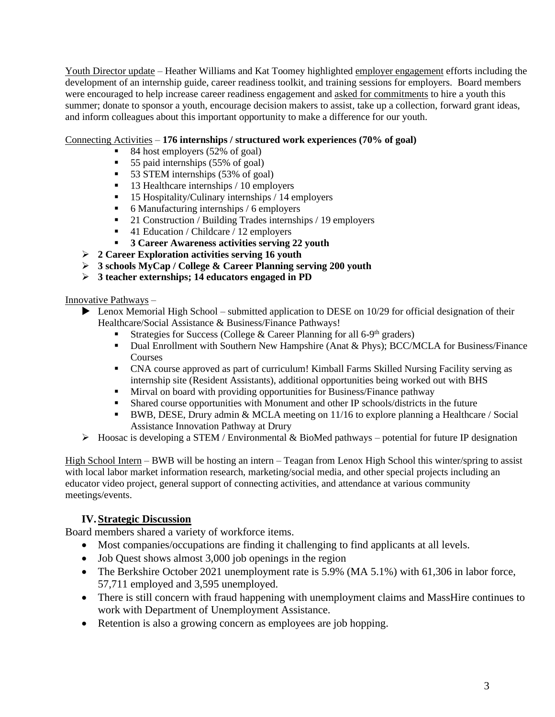Youth Director update – Heather Williams and Kat Toomey highlighted employer engagement efforts including the development of an internship guide, career readiness toolkit, and training sessions for employers. Board members were encouraged to help increase career readiness engagement and asked for commitments to hire a youth this summer; donate to sponsor a youth, encourage decision makers to assist, take up a collection, forward grant ideas, and inform colleagues about this important opportunity to make a difference for our youth.

#### Connecting Activities – **176 internships / structured work experiences (70% of goal)**

- 84 host employers (52% of goal)
- 55 paid internships (55% of goal)
- 53 STEM internships (53% of goal)
- 13 Healthcare internships / 10 employers
- 15 Hospitality/Culinary internships / 14 employers
- 6 Manufacturing internships / 6 employers
- 21 Construction / Building Trades internships / 19 employers
- 41 Education / Childcare / 12 employers
- **3 Career Awareness activities serving 22 youth**
- ➢ **2 Career Exploration activities serving 16 youth**
- ➢ **3 schools MyCap / College & Career Planning serving 200 youth**
- ➢ **3 teacher externships; 14 educators engaged in PD**

Innovative Pathways –

- ▶ Lenox Memorial High School submitted application to DESE on 10/29 for official designation of their Healthcare/Social Assistance & Business/Finance Pathways!
	- **Exercise** Strategies for Success (College & Career Planning for all 6-9<sup>th</sup> graders)
	- Dual Enrollment with Southern New Hampshire (Anat & Phys); BCC/MCLA for Business/Finance Courses
	- CNA course approved as part of curriculum! Kimball Farms Skilled Nursing Facility serving as internship site (Resident Assistants), additional opportunities being worked out with BHS
	- **EXECUTE:** Mirval on board with providing opportunities for Business/Finance pathway
	- Shared course opportunities with Monument and other IP schools/districts in the future
	- BWB, DESE, Drury admin & MCLA meeting on 11/16 to explore planning a Healthcare / Social Assistance Innovation Pathway at Drury
- $\triangleright$  Hoosac is developing a STEM / Environmental & BioMed pathways potential for future IP designation

High School Intern – BWB will be hosting an intern – Teagan from Lenox High School this winter/spring to assist with local labor market information research, marketing/social media, and other special projects including an educator video project, general support of connecting activities, and attendance at various community meetings/events.

### **IV.Strategic Discussion**

Board members shared a variety of workforce items.

- Most companies/occupations are finding it challenging to find applicants at all levels.
- Job Quest shows almost 3,000 job openings in the region
- The Berkshire October 2021 unemployment rate is 5.9% (MA 5.1%) with 61,306 in labor force, 57,711 employed and 3,595 unemployed.
- There is still concern with fraud happening with unemployment claims and MassHire continues to work with Department of Unemployment Assistance.
- Retention is also a growing concern as employees are job hopping.